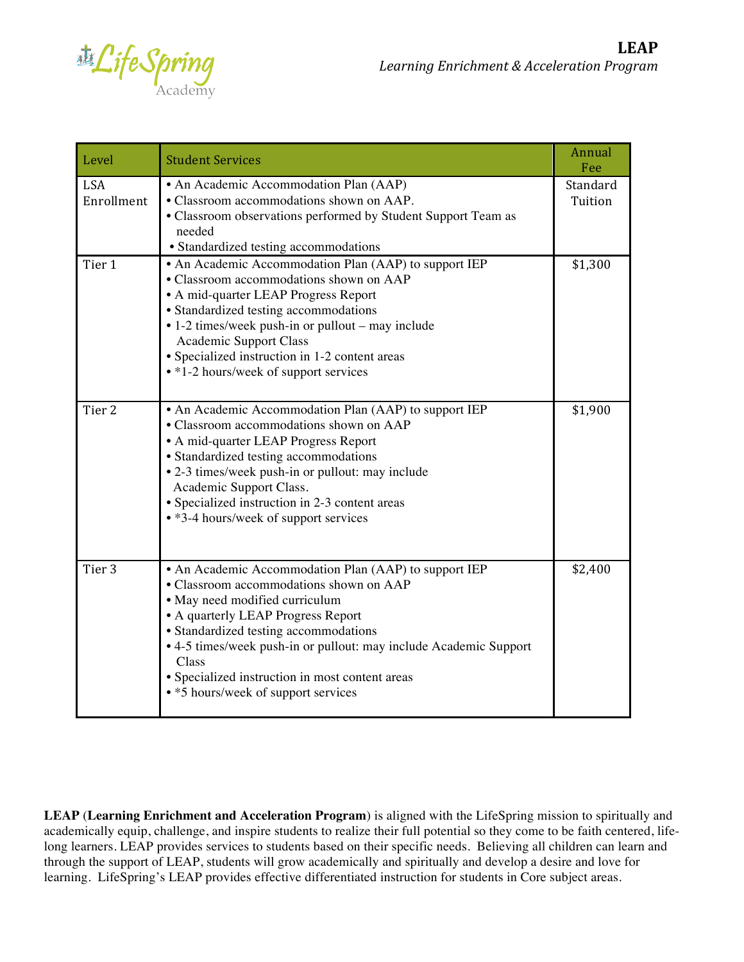$\mathbb{Z}$   $\mathbb{Z}$  

| Level                    | <b>Student Services</b>                                                                                                                                                                                                                                                                                                                                                                   | Annual<br>Fee       |
|--------------------------|-------------------------------------------------------------------------------------------------------------------------------------------------------------------------------------------------------------------------------------------------------------------------------------------------------------------------------------------------------------------------------------------|---------------------|
| <b>LSA</b><br>Enrollment | • An Academic Accommodation Plan (AAP)<br>• Classroom accommodations shown on AAP.<br>• Classroom observations performed by Student Support Team as<br>needed<br>• Standardized testing accommodations                                                                                                                                                                                    | Standard<br>Tuition |
| Tier 1                   | • An Academic Accommodation Plan (AAP) to support IEP<br>• Classroom accommodations shown on AAP<br>• A mid-quarter LEAP Progress Report<br>• Standardized testing accommodations<br>$\bullet$ 1-2 times/week push-in or pullout – may include<br><b>Academic Support Class</b><br>• Specialized instruction in 1-2 content areas<br>• *1-2 hours/week of support services                | \$1,300             |
| Tier <sub>2</sub>        | • An Academic Accommodation Plan (AAP) to support IEP<br>• Classroom accommodations shown on AAP<br>• A mid-quarter LEAP Progress Report<br>• Standardized testing accommodations<br>• 2-3 times/week push-in or pullout: may include<br>Academic Support Class.<br>• Specialized instruction in 2-3 content areas<br>• *3-4 hours/week of support services                               | \$1,900             |
| Tier <sub>3</sub>        | • An Academic Accommodation Plan (AAP) to support IEP<br>• Classroom accommodations shown on AAP<br>• May need modified curriculum<br>• A quarterly LEAP Progress Report<br>• Standardized testing accommodations<br>• 4-5 times/week push-in or pullout: may include Academic Support<br>Class<br>• Specialized instruction in most content areas<br>• *5 hours/week of support services | \$2,400             |

**LEAP** (**Learning Enrichment and Acceleration Program**) is aligned with the LifeSpring mission to spiritually and academically equip, challenge, and inspire students to realize their full potential so they come to be faith centered, lifelong learners. LEAP provides services to students based on their specific needs. Believing all children can learn and through the support of LEAP, students will grow academically and spiritually and develop a desire and love for learning. LifeSpring's LEAP provides effective differentiated instruction for students in Core subject areas.